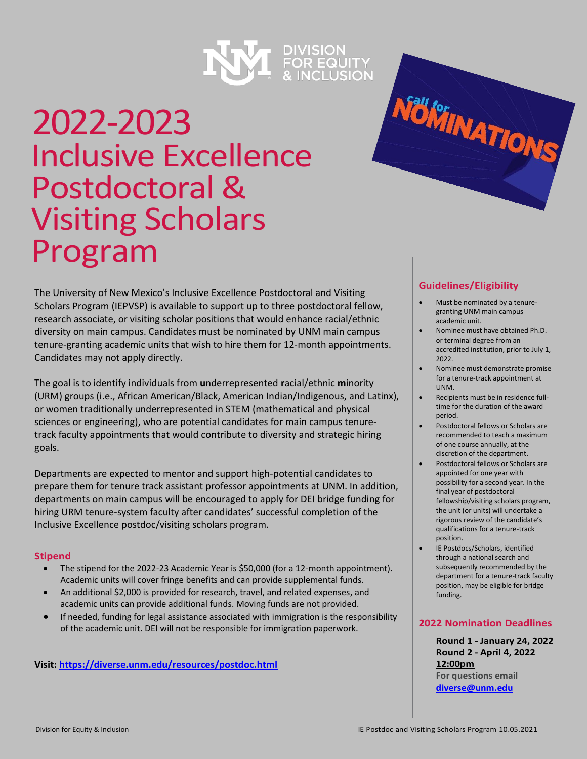

# 2022-2023 Inclusive Excellence Postdoctoral & Visiting Scholars Program

The University of New Mexico's Inclusive Excellence Postdoctoral and Visiting Scholars Program (IEPVSP) is available to support up to three postdoctoral fellow, research associate, or visiting scholar positions that would enhance racial/ethnic diversity on main campus. Candidates must be nominated by UNM main campus tenure-granting academic units that wish to hire them for 12-month appointments. Candidates may not apply directly.

The goal is to identify individuals from **u**nderrepresented **r**acial/ethnic **m**inority (URM) groups (i.e., African American/Black, American Indian/Indigenous, and Latinx), or women traditionally underrepresented in STEM (mathematical and physical sciences or engineering), who are potential candidates for main campus tenuretrack faculty appointments that would contribute to diversity and strategic hiring goals.

Departments are expected to mentor and support high-potential candidates to prepare them for tenure track assistant professor appointments at UNM. In addition, departments on main campus will be encouraged to apply for DEI bridge funding for hiring URM tenure-system faculty after candidates' successful completion of the Inclusive Excellence postdoc/visiting scholars program.

## **Stipend**

- The stipend for the 2022-23 Academic Year is \$50,000 (for a 12-month appointment). Academic units will cover fringe benefits and can provide supplemental funds.
- An additional \$2,000 is provided for research, travel, and related expenses, and academic units can provide additional funds. Moving funds are not provided.
- If needed, funding for legal assistance associated with immigration is the responsibility of the academic unit. DEI will not be responsible for immigration paperwork.

**Visit[: https://diverse.unm.edu/resources/postdoc.html](https://diverse.unm.edu/resources/postdoc.html)**

## **Guidelines/Eligibility**

Nölminations

- Must be nominated by a tenuregranting UNM main campus academic unit.
- Nominee must have obtained Ph.D. or terminal degree from an accredited institution, prior to July 1, 2022.
- Nominee must demonstrate promise for a tenure-track appointment at UNM.
- Recipients must be in residence fulltime for the duration of the award period.
- Postdoctoral fellows or Scholars are recommended to teach a maximum of one course annually, at the discretion of the department.
- Postdoctoral fellows or Scholars are appointed for one year with possibility for a second year. In the final year of postdoctoral fellowship/visiting scholars program, the unit (or units) will undertake a rigorous review of the candidate's qualifications for a tenure-track position.
- IE Postdocs/Scholars, identified through a national search and subsequently recommended by the department for a tenure-track faculty position, may be eligible for bridge funding.

## **2022 Nomination Deadlines**

**Round 1 - January 24, 2022 Round 2 - April 4, 2022 12:00pm For questions email [diverse@unm.edu](mailto:diverse@unm.edu)**